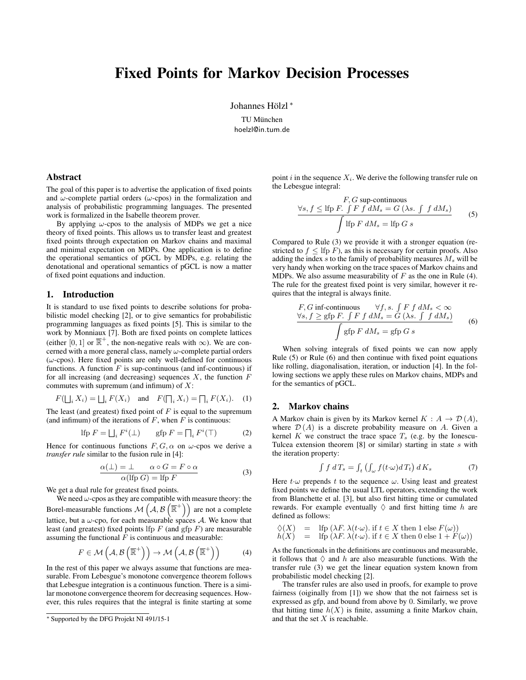# Fixed Points for Markov Decision Processes

Johannes Hölzl<sup>\*</sup>

TU München hoelzl@in.tum.de

#### Abstract

The goal of this paper is to advertise the application of fixed points and  $\omega$ -complete partial orders ( $\omega$ -cpos) in the formalization and analysis of probabilistic programming languages. The presented work is formalized in the Isabelle theorem prover.

By applying  $\omega$ -cpos to the analysis of MDPs we get a nice theory of fixed points. This allows us to transfer least and greatest fixed points through expectation on Markov chains and maximal and minimal expectation on MDPs. One application is to define the operational semantics of pGCL by MDPs, e.g. relating the denotational and operational semantics of pGCL is now a matter of fixed point equations and induction.

#### 1. Introduction

It is standard to use fixed points to describe solutions for probabilistic model checking [\[2\]](#page-1-0), or to give semantics for probabilistic programming languages as fixed points [\[5\]](#page-1-1). This is similar to the work by Monniaux [\[7\]](#page-1-2). Both are fixed points on complete lattices (either [0, 1] or  $\overline{\mathbb{R}}^+$ , the non-negative reals with  $\infty$ ). We are concerned with a more general class, namely  $\omega$ -complete partial orders  $(\omega$ -cpos). Here fixed points are only well-defined for continuous functions. A function  $F$  is sup-continuous (and inf-continuous) if for all increasing (and decreasing) sequences  $X$ , the function  $F$ commutes with supremum (and infimum) of  $X$ :

$$
F(\bigsqcup_i X_i) = \bigsqcup_i F(X_i) \quad \text{and} \quad F(\bigsqcup_i X_i) = \bigsqcup_i F(X_i). \tag{1}
$$

The least (and greatest) fixed point of  $F$  is equal to the supremum (and infimum) of the iterations of  $F$ , when  $F$  is continuous:

$$
\text{Ifp } F = \bigsqcup_i F^i(\bot) \qquad \text{gfp } F = \bigcap_i F^i(\top) \tag{2}
$$

Hence for continuous functions  $F, G, \alpha$  on  $\omega$ -cpos we derive a *transfer rule* similar to the fusion rule in [\[4\]](#page-1-3):

<span id="page-0-0"></span>
$$
\alpha(\bot) = \bot \qquad \alpha \circ G = F \circ \alpha
$$
  
 
$$
\alpha(\text{Ifp } G) = \text{Ifp } F \tag{3}
$$

We get a dual rule for greatest fixed points.

We need  $\omega$ -cpos as they are compatible with measure theory: the Borel-measurable functions  $\mathcal{M}(\mathcal{A}, \mathcal{B}(\overline{\mathbb{R}}^+))$  are not a complete lattice, but a  $\omega$ -cpo, for each measurable spaces A. We know that least (and greatest) fixed points lfp  $F$  (and gfp  $F$ ) are measurable assuming the functional  $\overline{F}$  is continuous and measurable:

<span id="page-0-1"></span>
$$
F \in \mathcal{M}\left(\mathcal{A}, \mathcal{B}\left(\overline{\mathbb{R}}^+\right)\right) \to \mathcal{M}\left(\mathcal{A}, \mathcal{B}\left(\overline{\mathbb{R}}^+\right)\right) \tag{4}
$$

In the rest of this paper we always assume that functions are measurable. From Lebesgue's monotone convergence theorem follows that Lebesgue integration is a continuous function. There is a similar monotone convergence theorem for decreasing sequences. However, this rules requires that the integral is finite starting at some point i in the sequence  $X_i$ . We derive the following transfer rule on the Lebesgue integral:

<span id="page-0-2"></span>
$$
\forall s, f \leq \text{lfp } F. \int F f dM_s = G (\lambda s. \int f dM_s)
$$
  

$$
\int \text{lfp } F dM_s = \text{lfp } G s
$$
 (5)

Compared to Rule [\(3\)](#page-0-0) we provide it with a stronger equation (restricted to  $f \leq$  lfp F), as this is necessary for certain proofs. Also adding the index  $s$  to the family of probability measures  $M_s$  will be very handy when working on the trace spaces of Markov chains and MDPs. We also assume measurability of  $F$  as the one in Rule [\(4\)](#page-0-1). The rule for the greatest fixed point is very similar, however it requires that the integral is always finite.

<span id="page-0-3"></span>
$$
F, G \text{ inf-continuous} \quad \forall f, s. \int F f dM_s < \infty
$$
  
\n
$$
\forall s, f \ge \text{gfp } F. \int F f dM_s = G (\lambda s. \int f dM_s)
$$
  
\n
$$
\int \text{gfp } F dM_s = \text{gfp } G s
$$
\n(6)

When solving integrals of fixed points we can now apply Rule [\(5\)](#page-0-2) or Rule [\(6\)](#page-0-3) and then continue with fixed point equations like rolling, diagonalisation, iteration, or induction [\[4\]](#page-1-3). In the following sections we apply these rules on Markov chains, MDPs and for the semantics of pGCL.

### 2. Markov chains

A Markov chain is given by its Markov kernel  $K : A \rightarrow \mathcal{D}(A)$ , where  $\mathcal{D}(A)$  is a discrete probability measure on A. Given a kernel K we construct the trace space  $T<sub>s</sub>$  (e.g. by the Ionescu-Tulcea extension theorem  $[8]$  or similar) starting in state s with the iteration property:

<span id="page-0-4"></span>
$$
\int f \, dT_s = \int_t \left( \int_{\omega} f(t \cdot \omega) dT_t \right) dK_s \tag{7}
$$

Here  $t \omega$  prepends t to the sequence  $\omega$ . Using least and greatest fixed points we define the usual LTL operators, extending the work from Blanchette et al. [\[3\]](#page-1-5), but also first hitting time or cumulated rewards. For example eventually  $\Diamond$  and first hitting time h are defined as follows:

 $\Diamond(X) = \text{Ifp } (\lambda F. \ \lambda(t \cdot \omega) \text{ if } t \in X \text{ then } 1 \text{ else } F(\omega))$  $h(X) =$  lfp  $(\lambda F. \lambda(t \cdot \omega))$ . if  $t \in X$  then 0 else  $1 + F(\omega)$ 

As the functionals in the definitions are continuous and measurable, it follows that  $\Diamond$  and h are also measurable functions. With the transfer rule [\(3\)](#page-0-0) we get the linear equation system known from probabilistic model checking [\[2\]](#page-1-0).

The transfer rules are also used in proofs, for example to prove fairness (oiginally from [\[1\]](#page-1-6)) we show that the not fairness set is expressed as gfp, and bound from above by 0. Similarly, we prove that hitting time  $h(X)$  is finite, assuming a finite Markov chain, and that the set  $X$  is reachable.

<sup>∗</sup> Supported by the DFG Projekt NI 491/15-1